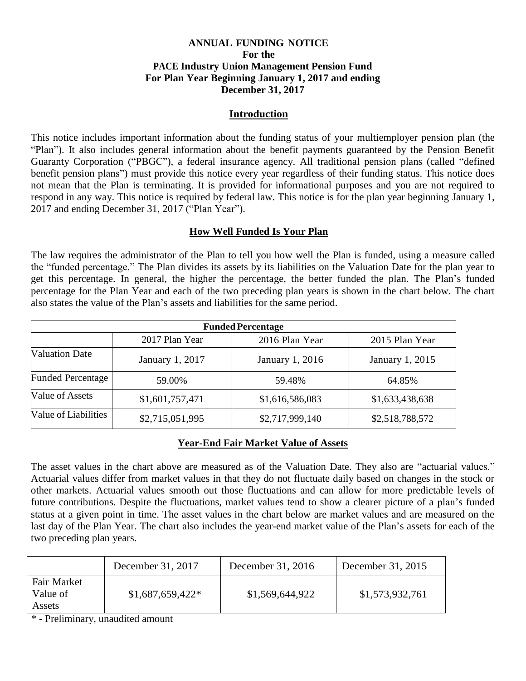#### **ANNUAL FUNDING NOTICE For the PACE Industry Union Management Pension Fund For Plan Year Beginning January 1, 2017 and ending December 31, 2017**

#### **Introduction**

This notice includes important information about the funding status of your multiemployer pension plan (the "Plan"). It also includes general information about the benefit payments guaranteed by the Pension Benefit Guaranty Corporation ("PBGC"), a federal insurance agency. All traditional pension plans (called "defined benefit pension plans") must provide this notice every year regardless of their funding status. This notice does not mean that the Plan is terminating. It is provided for informational purposes and you are not required to respond in any way. This notice is required by federal law. This notice is for the plan year beginning January 1, 2017 and ending December 31, 2017 ("Plan Year").

## **How Well Funded Is Your Plan**

The law requires the administrator of the Plan to tell you how well the Plan is funded, using a measure called the "funded percentage." The Plan divides its assets by its liabilities on the Valuation Date for the plan year to get this percentage. In general, the higher the percentage, the better funded the plan. The Plan's funded percentage for the Plan Year and each of the two preceding plan years is shown in the chart below. The chart also states the value of the Plan's assets and liabilities for the same period.

| <b>Funded Percentage</b> |                 |                 |                 |  |  |
|--------------------------|-----------------|-----------------|-----------------|--|--|
|                          | 2017 Plan Year  | 2016 Plan Year  | 2015 Plan Year  |  |  |
| <b>Valuation Date</b>    | January 1, 2017 | January 1, 2016 | January 1, 2015 |  |  |
| <b>Funded Percentage</b> | 59.00%          | 59.48%          | 64.85%          |  |  |
| <b>Value of Assets</b>   | \$1,601,757,471 | \$1,616,586,083 | \$1,633,438,638 |  |  |
| Value of Liabilities     | \$2,715,051,995 | \$2,717,999,140 | \$2,518,788,572 |  |  |

## **Year-End Fair Market Value of Assets**

The asset values in the chart above are measured as of the Valuation Date. They also are "actuarial values." Actuarial values differ from market values in that they do not fluctuate daily based on changes in the stock or other markets. Actuarial values smooth out those fluctuations and can allow for more predictable levels of future contributions. Despite the fluctuations, market values tend to show a clearer picture of a plan's funded status at a given point in time. The asset values in the chart below are market values and are measured on the last day of the Plan Year. The chart also includes the year-end market value of the Plan's assets for each of the two preceding plan years.

|                                   | December 31, 2017 | December 31, 2016 | December 31, 2015 |
|-----------------------------------|-------------------|-------------------|-------------------|
| Fair Market<br>Value of<br>Assets | $$1,687,659,422*$ | \$1,569,644,922   | \$1,573,932,761   |

\* - Preliminary, unaudited amount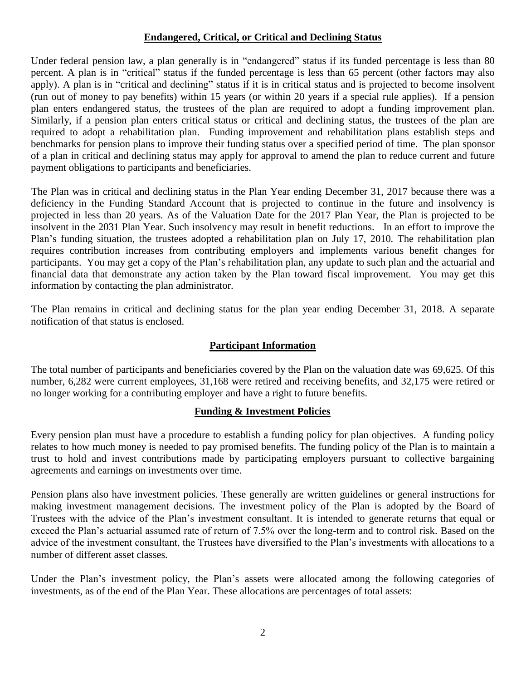## **Endangered, Critical, or Critical and Declining Status**

Under federal pension law, a plan generally is in "endangered" status if its funded percentage is less than 80 percent. A plan is in "critical" status if the funded percentage is less than 65 percent (other factors may also apply). A plan is in "critical and declining" status if it is in critical status and is projected to become insolvent (run out of money to pay benefits) within 15 years (or within 20 years if a special rule applies). If a pension plan enters endangered status, the trustees of the plan are required to adopt a funding improvement plan. Similarly, if a pension plan enters critical status or critical and declining status, the trustees of the plan are required to adopt a rehabilitation plan. Funding improvement and rehabilitation plans establish steps and benchmarks for pension plans to improve their funding status over a specified period of time. The plan sponsor of a plan in critical and declining status may apply for approval to amend the plan to reduce current and future payment obligations to participants and beneficiaries.

The Plan was in critical and declining status in the Plan Year ending December 31, 2017 because there was a deficiency in the Funding Standard Account that is projected to continue in the future and insolvency is projected in less than 20 years*.* As of the Valuation Date for the 2017 Plan Year, the Plan is projected to be insolvent in the 2031 Plan Year. Such insolvency may result in benefit reductions. In an effort to improve the Plan's funding situation, the trustees adopted a rehabilitation plan on July 17, 2010*.* The rehabilitation plan requires contribution increases from contributing employers and implements various benefit changes for participants. You may get a copy of the Plan's rehabilitation plan, any update to such plan and the actuarial and financial data that demonstrate any action taken by the Plan toward fiscal improvement. You may get this information by contacting the plan administrator.

The Plan remains in critical and declining status for the plan year ending December 31, 2018. A separate notification of that status is enclosed.

# **Participant Information**

The total number of participants and beneficiaries covered by the Plan on the valuation date was 69,625*.* Of this number, 6,282 were current employees, 31,168 were retired and receiving benefits, and 32,175 were retired or no longer working for a contributing employer and have a right to future benefits.

## **Funding & Investment Policies**

Every pension plan must have a procedure to establish a funding policy for plan objectives. A funding policy relates to how much money is needed to pay promised benefits. The funding policy of the Plan is to maintain a trust to hold and invest contributions made by participating employers pursuant to collective bargaining agreements and earnings on investments over time.

Pension plans also have investment policies. These generally are written guidelines or general instructions for making investment management decisions. The investment policy of the Plan is adopted by the Board of Trustees with the advice of the Plan's investment consultant. It is intended to generate returns that equal or exceed the Plan's actuarial assumed rate of return of 7.5% over the long-term and to control risk. Based on the advice of the investment consultant, the Trustees have diversified to the Plan's investments with allocations to a number of different asset classes*.*

Under the Plan's investment policy, the Plan's assets were allocated among the following categories of investments, as of the end of the Plan Year. These allocations are percentages of total assets: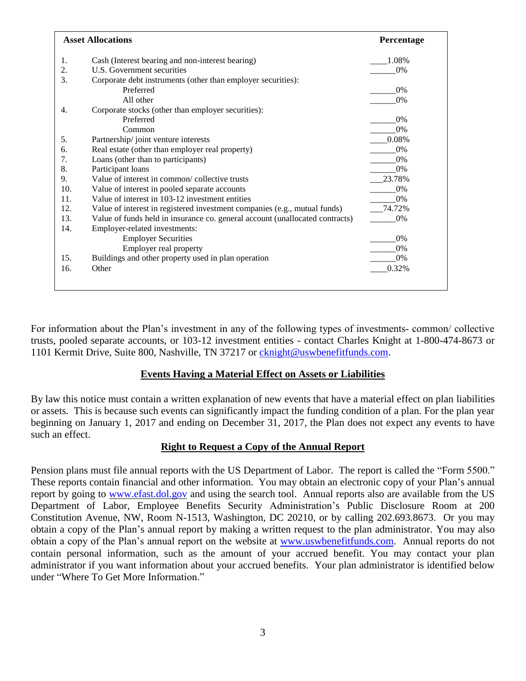| <b>Asset Allocations</b> |                                                                              | Percentage |
|--------------------------|------------------------------------------------------------------------------|------------|
| 1.                       | Cash (Interest bearing and non-interest bearing)                             | 1.08%      |
| 2.                       | U.S. Government securities                                                   | 0%         |
| 3.                       | Corporate debt instruments (other than employer securities):                 |            |
|                          | Preferred                                                                    | 0%         |
|                          | All other                                                                    | 0%         |
| 4.                       | Corporate stocks (other than employer securities):                           |            |
|                          | Preferred                                                                    | 0%         |
|                          | Common                                                                       | 0%         |
| 5.                       | Partnership/joint venture interests                                          | 0.08%      |
| 6.                       | Real estate (other than employer real property)                              | 0%         |
| 7.                       | Loans (other than to participants)                                           | 0%         |
| 8.                       | Participant loans                                                            | 0%         |
| 9.                       | Value of interest in common/ collective trusts                               | 23.78%     |
| 10.                      | Value of interest in pooled separate accounts                                | 0%         |
| 11.                      | Value of interest in 103-12 investment entities                              | 0%         |
| 12.                      | Value of interest in registered investment companies (e.g., mutual funds)    | 74.72%     |
| 13.                      | Value of funds held in insurance co. general account (unallocated contracts) | 0%         |
| 14.                      | Employer-related investments:                                                |            |
|                          | <b>Employer Securities</b>                                                   | 0%         |
|                          | Employer real property                                                       | 0%         |
| 15.                      | Buildings and other property used in plan operation                          | 0%         |
| 16.                      | Other                                                                        | 0.32%      |
|                          |                                                                              |            |

For information about the Plan's investment in any of the following types of investments common/ collective trusts, pooled separate accounts, or 103-12 investment entities - contact Charles Knight at 1-800-474-8673 or 1101 Kermit Drive, Suite 800, Nashville, TN 37217 or [cknight@uswbenefitfunds.com.](mailto:cknight@uswbenefitfunds.com)

## **Events Having a Material Effect on Assets or Liabilities**

By law this notice must contain a written explanation of new events that have a material effect on plan liabilities or assets. This is because such events can significantly impact the funding condition of a plan. For the plan year beginning on January 1, 2017 and ending on December 31, 2017*,* the Plan does not expect any events to have such an effect.

#### **Right to Request a Copy of the Annual Report**

Pension plans must file annual reports with the US Department of Labor. The report is called the "Form 5500." These reports contain financial and other information. You may obtain an electronic copy of your Plan's annual report by going to [www.efast.dol.gov](http://www.efast.dol.gov/) and using the search tool. Annual reports also are available from the US Department of Labor, Employee Benefits Security Administration's Public Disclosure Room at 200 Constitution Avenue, NW, Room N-1513, Washington, DC 20210, or by calling 202.693.8673. Or you may obtain a copy of the Plan's annual report by making a written request to the plan administrator. You may also obtain a copy of the Plan's annual report on the website at [www.uswbenefitfunds.com.](http://www.uswbenefitfunds.com/) Annual reports do not contain personal information, such as the amount of your accrued benefit. You may contact your plan administrator if you want information about your accrued benefits. Your plan administrator is identified below under "Where To Get More Information."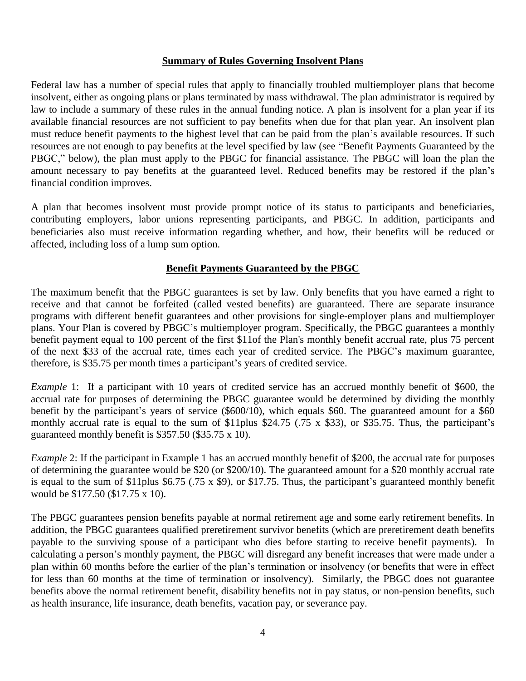#### **Summary of Rules Governing Insolvent Plans**

Federal law has a number of special rules that apply to financially troubled multiemployer plans that become insolvent, either as ongoing plans or plans terminated by mass withdrawal. The plan administrator is required by law to include a summary of these rules in the annual funding notice. A plan is insolvent for a plan year if its available financial resources are not sufficient to pay benefits when due for that plan year. An insolvent plan must reduce benefit payments to the highest level that can be paid from the plan's available resources. If such resources are not enough to pay benefits at the level specified by law (see "Benefit Payments Guaranteed by the PBGC," below), the plan must apply to the PBGC for financial assistance. The PBGC will loan the plan the amount necessary to pay benefits at the guaranteed level. Reduced benefits may be restored if the plan's financial condition improves.

A plan that becomes insolvent must provide prompt notice of its status to participants and beneficiaries, contributing employers, labor unions representing participants, and PBGC. In addition, participants and beneficiaries also must receive information regarding whether, and how, their benefits will be reduced or affected, including loss of a lump sum option.

## **Benefit Payments Guaranteed by the PBGC**

The maximum benefit that the PBGC guarantees is set by law. Only benefits that you have earned a right to receive and that cannot be forfeited (called vested benefits) are guaranteed. There are separate insurance programs with different benefit guarantees and other provisions for single-employer plans and multiemployer plans. Your Plan is covered by PBGC's multiemployer program. Specifically, the PBGC guarantees a monthly benefit payment equal to 100 percent of the first \$11of the Plan's monthly benefit accrual rate, plus 75 percent of the next \$33 of the accrual rate, times each year of credited service. The PBGC's maximum guarantee, therefore, is \$35.75 per month times a participant's years of credited service.

*Example* 1: If a participant with 10 years of credited service has an accrued monthly benefit of \$600, the accrual rate for purposes of determining the PBGC guarantee would be determined by dividing the monthly benefit by the participant's years of service (\$600/10), which equals \$60. The guaranteed amount for a \$60 monthly accrual rate is equal to the sum of \$11plus \$24.75 (.75 x \$33), or \$35.75. Thus, the participant's guaranteed monthly benefit is \$357.50 (\$35.75 x 10).

*Example 2*: If the participant in Example 1 has an accrued monthly benefit of \$200, the accrual rate for purposes of determining the guarantee would be \$20 (or \$200/10). The guaranteed amount for a \$20 monthly accrual rate is equal to the sum of \$11plus \$6.75 (.75 x \$9), or \$17.75. Thus, the participant's guaranteed monthly benefit would be \$177.50 (\$17.75 x 10).

The PBGC guarantees pension benefits payable at normal retirement age and some early retirement benefits. In addition, the PBGC guarantees qualified preretirement survivor benefits (which are preretirement death benefits payable to the surviving spouse of a participant who dies before starting to receive benefit payments). In calculating a person's monthly payment, the PBGC will disregard any benefit increases that were made under a plan within 60 months before the earlier of the plan's termination or insolvency (or benefits that were in effect for less than 60 months at the time of termination or insolvency). Similarly, the PBGC does not guarantee benefits above the normal retirement benefit, disability benefits not in pay status, or non-pension benefits, such as health insurance, life insurance, death benefits, vacation pay, or severance pay.